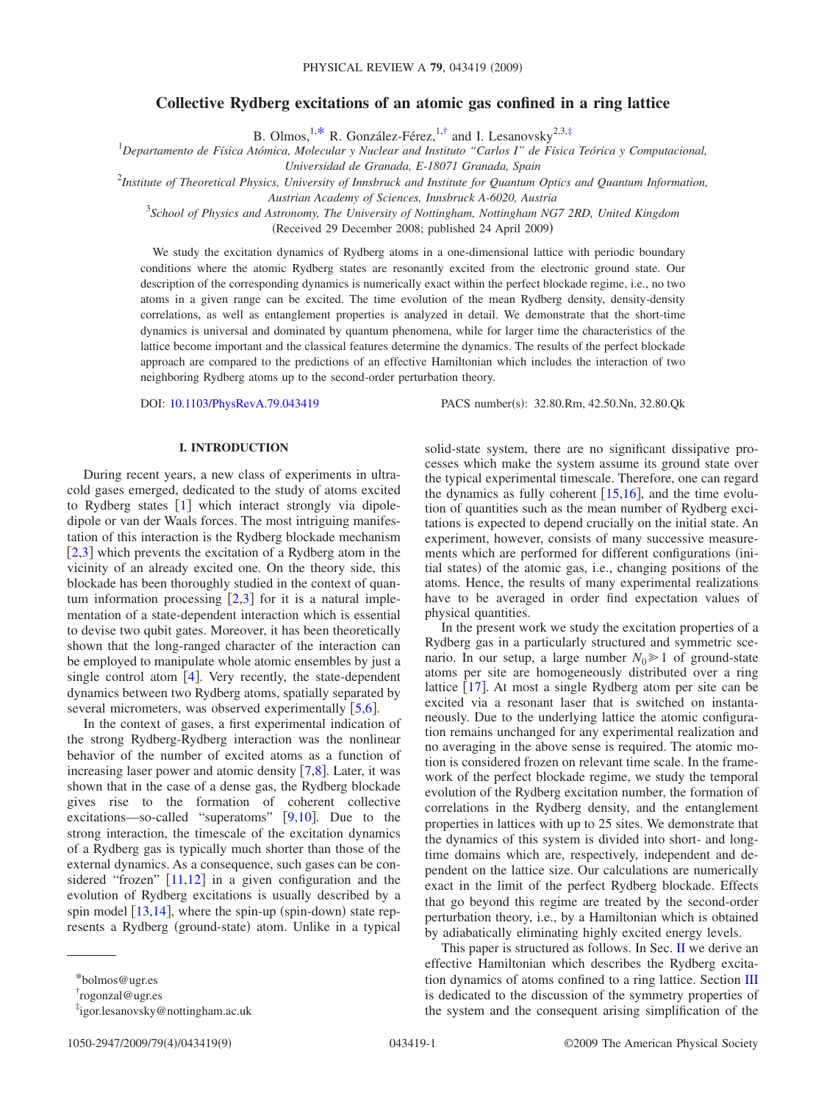# **Collective Rydberg excitations of an atomic gas confined in a ring lattice**

B. Olmos, <sup>1[,\\*](#page-0-0)</sup> R. González-Férez, <sup>1[,†](#page-0-1)</sup> and I. Lesanovsky<sup>2,3[,‡](#page-0-2)</sup>

1 *Departamento de Física Atómica, Molecular y Nuclear and Instituto "Carlos I" de Física Teórica y Computacional,*

*Universidad de Granada, E-18071 Granada, Spain*

2 *Institute of Theoretical Physics, University of Innsbruck and Institute for Quantum Optics and Quantum Information,*

*Austrian Academy of Sciences, Innsbruck A-6020, Austria*

3 *School of Physics and Astronomy, The University of Nottingham, Nottingham NG7 2RD, United Kingdom*

Received 29 December 2008; published 24 April 2009-

We study the excitation dynamics of Rydberg atoms in a one-dimensional lattice with periodic boundary conditions where the atomic Rydberg states are resonantly excited from the electronic ground state. Our description of the corresponding dynamics is numerically exact within the perfect blockade regime, i.e., no two atoms in a given range can be excited. The time evolution of the mean Rydberg density, density-density correlations, as well as entanglement properties is analyzed in detail. We demonstrate that the short-time dynamics is universal and dominated by quantum phenomena, while for larger time the characteristics of the lattice become important and the classical features determine the dynamics. The results of the perfect blockade approach are compared to the predictions of an effective Hamiltonian which includes the interaction of two neighboring Rydberg atoms up to the second-order perturbation theory.

DOI: [10.1103/PhysRevA.79.043419](http://dx.doi.org/10.1103/PhysRevA.79.043419)

PACS number(s): 32.80.Rm, 42.50.Nn, 32.80.Ok

# **I. INTRODUCTION**

During recent years, a new class of experiments in ultracold gases emerged, dedicated to the study of atoms excited to Rydberg states  $\begin{bmatrix} 1 \end{bmatrix}$  $\begin{bmatrix} 1 \end{bmatrix}$  $\begin{bmatrix} 1 \end{bmatrix}$  which interact strongly via dipoledipole or van der Waals forces. The most intriguing manifestation of this interaction is the Rydberg blockade mechanism  $[2,3]$  $[2,3]$  $[2,3]$  $[2,3]$  which prevents the excitation of a Rydberg atom in the vicinity of an already excited one. On the theory side, this blockade has been thoroughly studied in the context of quantum information processing  $\lceil 2,3 \rceil$  $\lceil 2,3 \rceil$  $\lceil 2,3 \rceil$  $\lceil 2,3 \rceil$  for it is a natural implementation of a state-dependent interaction which is essential to devise two qubit gates. Moreover, it has been theoretically shown that the long-ranged character of the interaction can be employed to manipulate whole atomic ensembles by just a single control atom  $[4]$  $[4]$  $[4]$ . Very recently, the state-dependent dynamics between two Rydberg atoms, spatially separated by several micrometers, was observed experimentally  $[5,6]$  $[5,6]$  $[5,6]$  $[5,6]$ .

In the context of gases, a first experimental indication of the strong Rydberg-Rydberg interaction was the nonlinear behavior of the number of excited atoms as a function of increasing laser power and atomic density  $[7,8]$  $[7,8]$  $[7,8]$  $[7,8]$ . Later, it was shown that in the case of a dense gas, the Rydberg blockade gives rise to the formation of coherent collective excitations—so-called "superatoms"  $[9,10]$  $[9,10]$  $[9,10]$  $[9,10]$ . Due to the strong interaction, the timescale of the excitation dynamics of a Rydberg gas is typically much shorter than those of the external dynamics. As a consequence, such gases can be considered "frozen"  $[11,12]$  $[11,12]$  $[11,12]$  $[11,12]$  in a given configuration and the evolution of Rydberg excitations is usually described by a spin model  $[13, 14]$  $[13, 14]$  $[13, 14]$  $[13, 14]$  $[13, 14]$ , where the spin-up (spin-down) state represents a Rydberg (ground-state) atom. Unlike in a typical

solid-state system, there are no significant dissipative processes which make the system assume its ground state over the typical experimental timescale. Therefore, one can regard the dynamics as fully coherent  $[15,16]$  $[15,16]$  $[15,16]$  $[15,16]$ , and the time evolution of quantities such as the mean number of Rydberg excitations is expected to depend crucially on the initial state. An experiment, however, consists of many successive measurements which are performed for different configurations (initial states) of the atomic gas, i.e., changing positions of the atoms. Hence, the results of many experimental realizations have to be averaged in order find expectation values of physical quantities.

In the present work we study the excitation properties of a Rydberg gas in a particularly structured and symmetric scenario. In our setup, a large number  $N_0 \ge 1$  of ground-state atoms per site are homogeneously distributed over a ring lattice  $\lceil 17 \rceil$  $\lceil 17 \rceil$  $\lceil 17 \rceil$ . At most a single Rydberg atom per site can be excited via a resonant laser that is switched on instantaneously. Due to the underlying lattice the atomic configuration remains unchanged for any experimental realization and no averaging in the above sense is required. The atomic motion is considered frozen on relevant time scale. In the framework of the perfect blockade regime, we study the temporal evolution of the Rydberg excitation number, the formation of correlations in the Rydberg density, and the entanglement properties in lattices with up to 25 sites. We demonstrate that the dynamics of this system is divided into short- and longtime domains which are, respectively, independent and dependent on the lattice size. Our calculations are numerically exact in the limit of the perfect Rydberg blockade. Effects that go beyond this regime are treated by the second-order perturbation theory, i.e., by a Hamiltonian which is obtained by adiabatically eliminating highly excited energy levels.

This paper is structured as follows. In Sec. [II](#page-1-0) we derive an effective Hamiltonian which describes the Rydberg excitation dynamics of atoms confined to a ring lattice. Section [III](#page-1-1) is dedicated to the discussion of the symmetry properties of the system and the consequent arising simplification of the

<sup>\*</sup>bolmos@ugr.es

<span id="page-0-0"></span><sup>†</sup> rogonzal@ugr.es

<span id="page-0-2"></span><span id="page-0-1"></span><sup>‡</sup> igor.lesanovsky@nottingham.ac.uk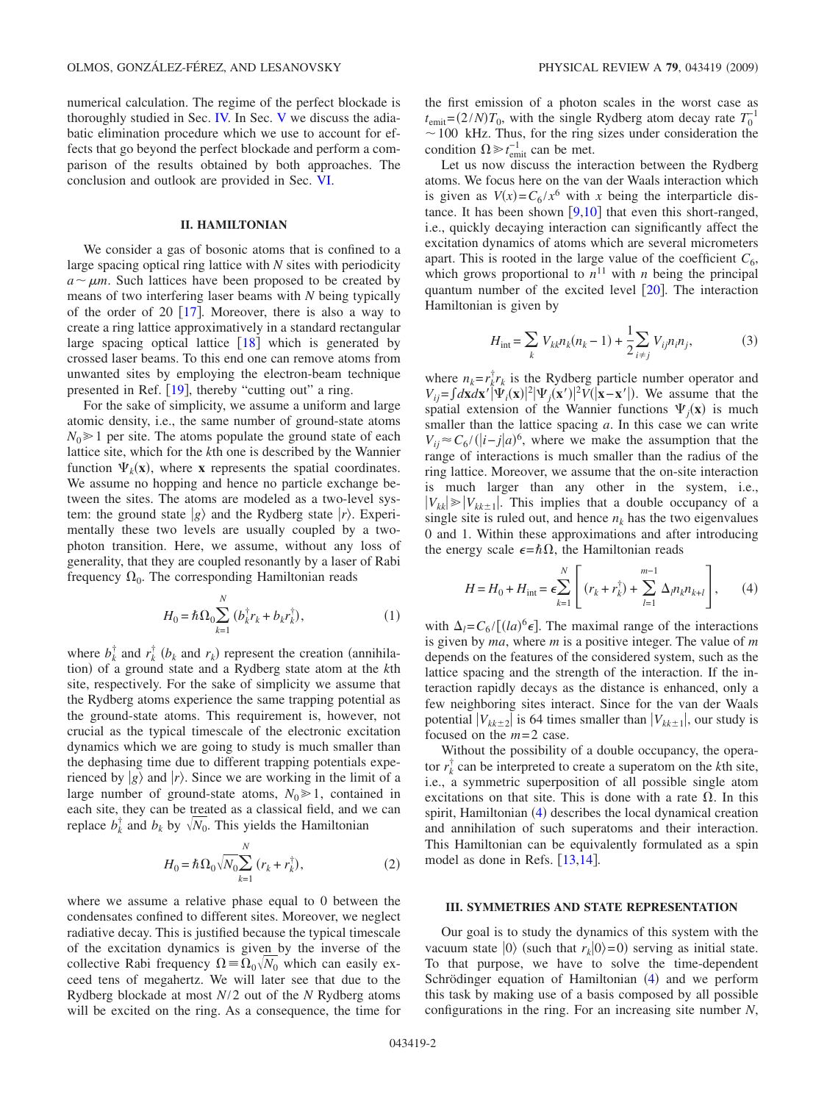numerical calculation. The regime of the perfect blockade is thoroughly studied in Sec. [IV.](#page-2-0) In Sec. [V](#page-6-0) we discuss the adiabatic elimination procedure which we use to account for effects that go beyond the perfect blockade and perform a comparison of the results obtained by both approaches. The conclusion and outlook are provided in Sec. [VI.](#page-7-0)

# **II. HAMILTONIAN**

<span id="page-1-0"></span>We consider a gas of bosonic atoms that is confined to a large spacing optical ring lattice with *N* sites with periodicity  $a \sim \mu m$ . Such lattices have been proposed to be created by means of two interfering laser beams with *N* being typically of the order of 20  $\lceil 17 \rceil$  $\lceil 17 \rceil$  $\lceil 17 \rceil$ . Moreover, there is also a way to create a ring lattice approximatively in a standard rectangular large spacing optical lattice  $\begin{bmatrix} 18 \end{bmatrix}$  $\begin{bmatrix} 18 \end{bmatrix}$  $\begin{bmatrix} 18 \end{bmatrix}$  which is generated by crossed laser beams. To this end one can remove atoms from unwanted sites by employing the electron-beam technique presented in Ref.  $[19]$  $[19]$  $[19]$ , thereby "cutting out" a ring.

For the sake of simplicity, we assume a uniform and large atomic density, i.e., the same number of ground-state atoms  $N_0 \geq 1$  per site. The atoms populate the ground state of each lattice site, which for the *k*th one is described by the Wannier function  $\Psi_k(\mathbf{x})$ , where **x** represents the spatial coordinates. We assume no hopping and hence no particle exchange between the sites. The atoms are modeled as a two-level system: the ground state  $|g\rangle$  and the Rydberg state  $|r\rangle$ . Experimentally these two levels are usually coupled by a twophoton transition. Here, we assume, without any loss of generality, that they are coupled resonantly by a laser of Rabi frequency  $\Omega_0$ . The corresponding Hamiltonian reads

$$
H_0 = \hbar \Omega_0 \sum_{k=1}^{N} (b_k^{\dagger} r_k + b_k r_k^{\dagger}),
$$
 (1)

where  $b_k^{\dagger}$  and  $r_k^{\dagger}$  ( $b_k$  and  $r_k$ ) represent the creation (annihilation) of a ground state and a Rydberg state atom at the *k*th site, respectively. For the sake of simplicity we assume that the Rydberg atoms experience the same trapping potential as the ground-state atoms. This requirement is, however, not crucial as the typical timescale of the electronic excitation dynamics which we are going to study is much smaller than the dephasing time due to different trapping potentials experienced by  $|g\rangle$  and  $|r\rangle$ . Since we are working in the limit of a large number of ground-state atoms,  $N_0 \ge 1$ , contained in each site, they can be treated as a classical field, and we can replace  $b_k^{\dagger}$  and  $b_k$  by  $\sqrt{N_0}$ . This yields the Hamiltonian

$$
H_0 = \hbar \Omega_0 \sqrt{N_0} \sum_{k=1}^{N} (r_k + r_k^{\dagger}), \qquad (2)
$$

where we assume a relative phase equal to 0 between the condensates confined to different sites. Moreover, we neglect radiative decay. This is justified because the typical timescale of the excitation dynamics is given by the inverse of the collective Rabi frequency  $\Omega = \Omega_0 / N_0$  which can easily exceed tens of megahertz. We will later see that due to the Rydberg blockade at most *N*/2 out of the *N* Rydberg atoms will be excited on the ring. As a consequence, the time for the first emission of a photon scales in the worst case as  $t_{\text{emit}} = (2/N)T_0$ , with the single Rydberg atom decay rate  $T_0^{-1}$  $\sim$  100 kHz. Thus, for the ring sizes under consideration the condition  $\Omega \gg t_{\text{emit}}^{-1}$  can be met.

Let us now discuss the interaction between the Rydberg atoms. We focus here on the van der Waals interaction which is given as  $V(x) = C_6 / x^6$  with *x* being the interparticle distance. It has been shown  $\lceil 9,10 \rceil$  $\lceil 9,10 \rceil$  $\lceil 9,10 \rceil$  $\lceil 9,10 \rceil$  that even this short-ranged, i.e., quickly decaying interaction can significantly affect the excitation dynamics of atoms which are several micrometers apart. This is rooted in the large value of the coefficient  $C_6$ , which grows proportional to  $n<sup>11</sup>$  with *n* being the principal quantum number of the excited level  $[20]$  $[20]$  $[20]$ . The interaction Hamiltonian is given by

$$
H_{\text{int}} = \sum_{k} V_{kk} n_{k} (n_{k} - 1) + \frac{1}{2} \sum_{i \neq j} V_{ij} n_{i} n_{j}, \tag{3}
$$

where  $n_k = r_k^{\dagger} r_k$  is the Rydberg particle number operator and  $V_{ij} = \int d\mathbf{x} d\mathbf{x}' |\Psi_i(\mathbf{x})|^2 |\Psi_j(\mathbf{x}')|^2 V(|\mathbf{x}-\mathbf{x}'|)$ . We assume that the spatial extension of the Wannier functions  $\Psi_j(\mathbf{x})$  is much smaller than the lattice spacing *a*. In this case we can write  $V_{ij} \approx C_6 / (|\mathbf{i} - \mathbf{j}|a)^6$ , where we make the assumption that the range of interactions is much smaller than the radius of the ring lattice. Moreover, we assume that the on-site interaction is much larger than any other in the system, i.e.,  $|V_{kk}| \ge |V_{kk\pm 1}|$ . This implies that a double occupancy of a single site is ruled out, and hence  $n_k$  has the two eigenvalues 0 and 1. Within these approximations and after introducing the energy scale  $\epsilon = \hbar \Omega$ , the Hamiltonian reads

$$
H = H_0 + H_{\text{int}} = \epsilon \sum_{k=1}^{N} \left[ (r_k + r_k^{\dagger}) + \sum_{l=1}^{m-1} \Delta_l n_k n_{k+l} \right], \qquad (4)
$$

<span id="page-1-2"></span>with  $\Delta_l = C_6 / [(l_a)^6 \epsilon]$ . The maximal range of the interactions is given by *ma*, where *m* is a positive integer. The value of *m* depends on the features of the considered system, such as the lattice spacing and the strength of the interaction. If the interaction rapidly decays as the distance is enhanced, only a few neighboring sites interact. Since for the van der Waals potential  $|V_{kk\pm 2}|$  is 64 times smaller than  $|V_{kk\pm 1}|$ , our study is focused on the *m*=2 case.

Without the possibility of a double occupancy, the operator  $r_k^{\dagger}$  can be interpreted to create a superatom on the *k*th site, i.e., a symmetric superposition of all possible single atom excitations on that site. This is done with a rate  $\Omega$ . In this spirit, Hamiltonian ([4](#page-1-2)) describes the local dynamical creation and annihilation of such superatoms and their interaction. This Hamiltonian can be equivalently formulated as a spin model as done in Refs.  $[13,14]$  $[13,14]$  $[13,14]$  $[13,14]$ .

## **III. SYMMETRIES AND STATE REPRESENTATION**

<span id="page-1-1"></span>Our goal is to study the dynamics of this system with the vacuum state  $|0\rangle$  (such that  $r_k|0\rangle=0$ ) serving as initial state. To that purpose, we have to solve the time-dependent Schrödinger equation of Hamiltonian ([4](#page-1-2)) and we perform this task by making use of a basis composed by all possible configurations in the ring. For an increasing site number *N*,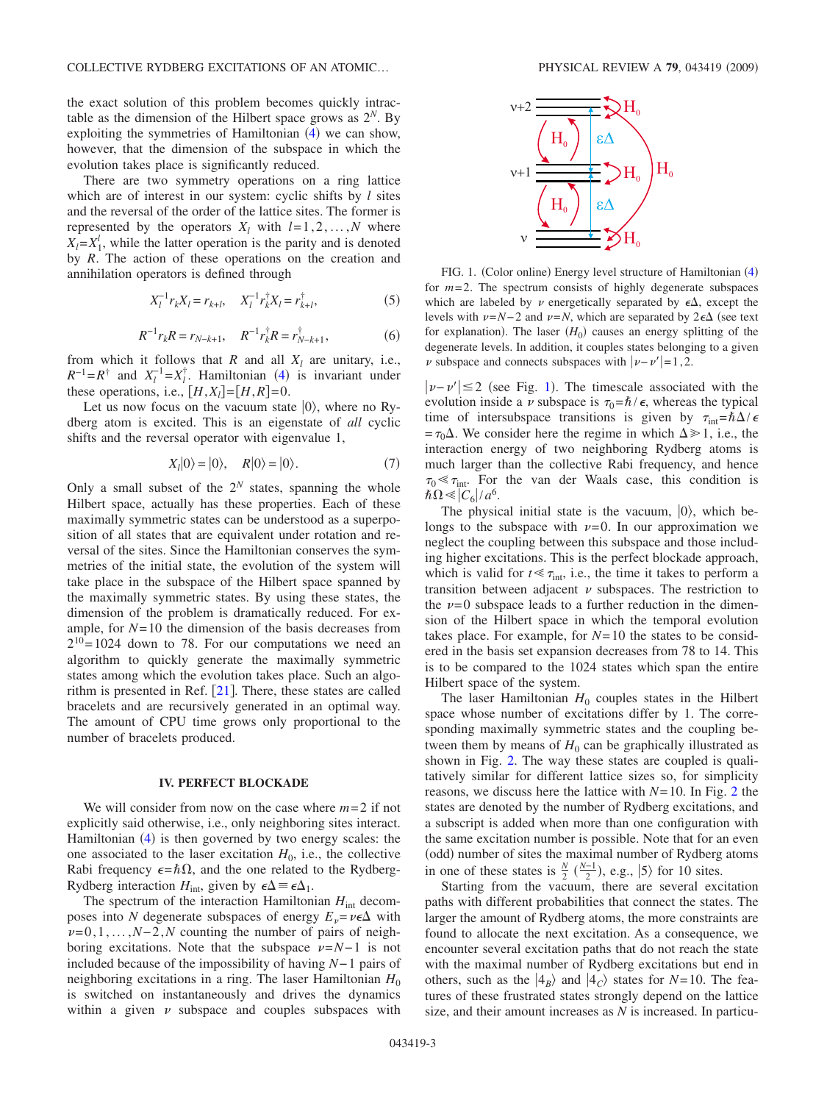the exact solution of this problem becomes quickly intractable as the dimension of the Hilbert space grows as  $2^N$ . By exploiting the symmetries of Hamiltonian  $(4)$  $(4)$  $(4)$  we can show, however, that the dimension of the subspace in which the evolution takes place is significantly reduced.

There are two symmetry operations on a ring lattice which are of interest in our system: cyclic shifts by *l* sites and the reversal of the order of the lattice sites. The former is represented by the operators  $X_l$  with  $l=1,2,\ldots,N$  where  $X_l = X_1^l$ , while the latter operation is the parity and is denoted by *R*. The action of these operations on the creation and annihilation operators is defined through

$$
X_l^{-1} r_k X_l = r_{k+l}, \quad X_l^{-1} r_k^{\dagger} X_l = r_{k+l}^{\dagger}, \tag{5}
$$

$$
R^{-1}r_k R = r_{N-k+1}, \quad R^{-1}r_k^{\dagger} R = r_{N-k+1}^{\dagger}, \tag{6}
$$

from which it follows that  $R$  and all  $X_l$  are unitary, i.e.,  $R^{-1} = R^{\dagger}$  and  $X_l^{-1} = X_l^{\dagger}$ . Hamiltonian ([4](#page-1-2)) is invariant under these operations, i.e.,  $[H,X_l] = [H,R] = 0$ .

Let us now focus on the vacuum state  $|0\rangle$ , where no Rydberg atom is excited. This is an eigenstate of *all* cyclic shifts and the reversal operator with eigenvalue 1,

$$
Xl|0\rangle = |0\rangle, \quad R|0\rangle = |0\rangle. \tag{7}
$$

Only a small subset of the  $2^N$  states, spanning the whole Hilbert space, actually has these properties. Each of these maximally symmetric states can be understood as a superposition of all states that are equivalent under rotation and reversal of the sites. Since the Hamiltonian conserves the symmetries of the initial state, the evolution of the system will take place in the subspace of the Hilbert space spanned by the maximally symmetric states. By using these states, the dimension of the problem is dramatically reduced. For example, for  $N=10$  the dimension of the basis decreases from  $2^{10}$ =1024 down to 78. For our computations we need an algorithm to quickly generate the maximally symmetric states among which the evolution takes place. Such an algorithm is presented in Ref.  $\left|21\right|$  $\left|21\right|$  $\left|21\right|$ . There, these states are called bracelets and are recursively generated in an optimal way. The amount of CPU time grows only proportional to the number of bracelets produced.

#### **IV. PERFECT BLOCKADE**

<span id="page-2-0"></span>We will consider from now on the case where *m*=2 if not explicitly said otherwise, i.e., only neighboring sites interact. Hamiltonian ([4](#page-1-2)) is then governed by two energy scales: the one associated to the laser excitation  $H_0$ , i.e., the collective Rabi frequency  $\epsilon = \hbar \Omega$ , and the one related to the Rydberg-Rydberg interaction  $H_{\text{int}}$ , given by  $\epsilon \Delta = \epsilon \Delta_1$ .

The spectrum of the interaction Hamiltonian  $H_{int}$  decomposes into *N* degenerate subspaces of energy  $E_v = v\epsilon \Delta$  with  $\nu$ =0,1,...,*N*−2,*N* counting the number of pairs of neighboring excitations. Note that the subspace  $\nu = N-1$  is not included because of the impossibility of having *N*−1 pairs of neighboring excitations in a ring. The laser Hamiltonian  $H_0$ is switched on instantaneously and drives the dynamics within a given  $\nu$  subspace and couples subspaces with

<span id="page-2-1"></span>

FIG. 1. (Color online) Energy level structure of Hamiltonian ([4](#page-1-2)) for  $m=2$ . The spectrum consists of highly degenerate subspaces which are labeled by  $\nu$  energetically separated by  $\epsilon \Delta$ , except the levels with  $\nu = N-2$  and  $\nu = N$ , which are separated by 2 $\varepsilon$ ∆ (see text for explanation). The laser  $(H_0)$  causes an energy splitting of the degenerate levels. In addition, it couples states belonging to a given  $\nu$  subspace and connects subspaces with  $|\nu-\nu'|=1,2$ .

 $|\nu-\nu'|$  ≤ 2 (see Fig. [1](#page-2-1)). The timescale associated with the evolution inside a v subspace is  $\tau_0 = \hbar / \epsilon$ , whereas the typical time of intersubspace transitions is given by  $\tau_{int} = \hbar \Delta / \epsilon$  $=\tau_0\Delta$ . We consider here the regime in which  $\Delta \gg 1$ , i.e., the interaction energy of two neighboring Rydberg atoms is much larger than the collective Rabi frequency, and hence  $\tau_0 \ll \tau_{\text{int}}$ . For the van der Waals case, this condition is  $\hbar\Omega \ll |C_6|/a^6$ .

The physical initial state is the vacuum,  $|0\rangle$ , which belongs to the subspace with  $\nu=0$ . In our approximation we neglect the coupling between this subspace and those including higher excitations. This is the perfect blockade approach, which is valid for  $t \ll \tau_{\text{int}}$ , i.e., the time it takes to perform a transition between adjacent  $\nu$  subspaces. The restriction to the  $\nu=0$  subspace leads to a further reduction in the dimension of the Hilbert space in which the temporal evolution takes place. For example, for  $N=10$  the states to be considered in the basis set expansion decreases from 78 to 14. This is to be compared to the 1024 states which span the entire Hilbert space of the system.

The laser Hamiltonian  $H_0$  couples states in the Hilbert space whose number of excitations differ by 1. The corresponding maximally symmetric states and the coupling between them by means of  $H_0$  can be graphically illustrated as shown in Fig. [2.](#page-3-0) The way these states are coupled is qualitatively similar for different lattice sizes so, for simplicity reasons, we discuss here the lattice with *N*=10. In Fig. [2](#page-3-0) the states are denoted by the number of Rydberg excitations, and a subscript is added when more than one configuration with the same excitation number is possible. Note that for an even (odd) number of sites the maximal number of Rydberg atoms in one of these states is  $\frac{N}{2}$  ( $\frac{N-1}{2}$ ), e.g.,  $|5\rangle$  for 10 sites.

Starting from the vacuum, there are several excitation paths with different probabilities that connect the states. The larger the amount of Rydberg atoms, the more constraints are found to allocate the next excitation. As a consequence, we encounter several excitation paths that do not reach the state with the maximal number of Rydberg excitations but end in others, such as the  $|4_B\rangle$  and  $|4_C\rangle$  states for *N*=10. The features of these frustrated states strongly depend on the lattice size, and their amount increases as *N* is increased. In particu-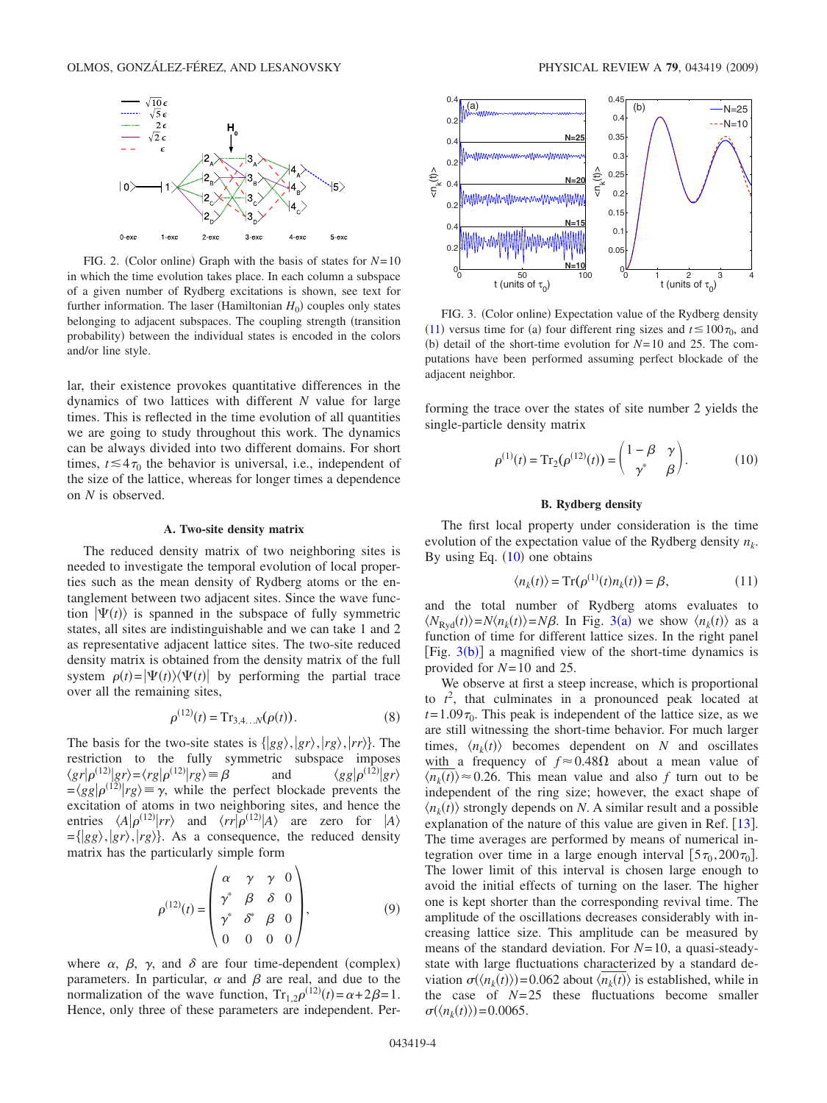<span id="page-3-0"></span>

FIG. 2. (Color online) Graph with the basis of states for  $N=10$ in which the time evolution takes place. In each column a subspace of a given number of Rydberg excitations is shown, see text for further information. The laser (Hamiltonian  $H_0$ ) couples only states belonging to adjacent subspaces. The coupling strength (transition probability) between the individual states is encoded in the colors and/or line style.

lar, their existence provokes quantitative differences in the dynamics of two lattices with different *N* value for large times. This is reflected in the time evolution of all quantities we are going to study throughout this work. The dynamics can be always divided into two different domains. For short times,  $t \leq 4\tau_0$  the behavior is universal, i.e., independent of the size of the lattice, whereas for longer times a dependence on *N* is observed.

#### **A. Two-site density matrix**

The reduced density matrix of two neighboring sites is needed to investigate the temporal evolution of local properties such as the mean density of Rydberg atoms or the entanglement between two adjacent sites. Since the wave function  $|\Psi(t)\rangle$  is spanned in the subspace of fully symmetric states, all sites are indistinguishable and we can take 1 and 2 as representative adjacent lattice sites. The two-site reduced density matrix is obtained from the density matrix of the full system  $\rho(t) = |\Psi(t)\rangle\langle\Psi(t)|$  by performing the partial trace over all the remaining sites,

$$
\rho^{(12)}(t) = \mathrm{Tr}_{3,4...N}(\rho(t)).
$$
\n(8)

The basis for the two-site states is  $\langle g g \rangle$ ,  $\langle g r \rangle$ ,  $\langle r g \rangle$ ,  $\langle r r \rangle$ . The restriction to the fully symmetric subspace imposes  $\langle gr|\rho^{(12)}|gr\rangle = \langle rg|\rho^{(12)}|rg\rangle =$  $\beta$  and  $\langle gg|\rho^{(12)}|gr\rangle$  $=\langle gg|\rho^{(12)}|rg\rangle \equiv \gamma$ , while the perfect blockade prevents the excitation of atoms in two neighboring sites, and hence the entries  $\langle A | \rho^{(12)} | r r \rangle$  and  $\langle r r | \rho^{(12)} | A \rangle$  are zero for  $|A \rangle$  $=\{|gg\rangle, |gr\rangle, |rg\rangle\}$ . As a consequence, the reduced density matrix has the particularly simple form

$$
\rho^{(12)}(t) = \begin{pmatrix} \alpha & \gamma & \gamma & 0 \\ \gamma^* & \beta & \delta & 0 \\ \gamma^* & \delta^* & \beta & 0 \\ 0 & 0 & 0 & 0 \end{pmatrix}, \tag{9}
$$

<span id="page-3-4"></span>where  $\alpha$ ,  $\beta$ ,  $\gamma$ , and  $\delta$  are four time-dependent (complex) parameters. In particular,  $\alpha$  and  $\beta$  are real, and due to the normalization of the wave function,  $Tr_{1,2}\rho^{(12)}(t) = \alpha + 2\beta = 1$ . Hence, only three of these parameters are independent. Per-

<span id="page-3-2"></span>

FIG. 3. (Color online) Expectation value of the Rydberg density ([11](#page-3-3)) versus time for (a) four different ring sizes and  $t \le 100\tau_0$ , and (b) detail of the short-time evolution for  $N=10$  and 25. The computations have been performed assuming perfect blockade of the adjacent neighbor.

forming the trace over the states of site number 2 yields the single-particle density matrix

$$
\rho^{(1)}(t) = \operatorname{Tr}_2(\rho^{(12)}(t)) = \begin{pmatrix} 1 - \beta & \gamma \\ \gamma^* & \beta \end{pmatrix}.
$$
 (10)

### **B. Rydberg density**

<span id="page-3-1"></span>The first local property under consideration is the time evolution of the expectation value of the Rydberg density  $n_k$ . By using Eq.  $(10)$  $(10)$  $(10)$  one obtains

$$
\langle n_k(t) \rangle = \text{Tr}(\rho^{(1)}(t)n_k(t)) = \beta,\tag{11}
$$

<span id="page-3-3"></span>and the total number of Rydberg atoms evaluates to  $\langle N_{\text{Ryd}}(t) \rangle = N \langle n_k(t) \rangle = N \beta$ . In Fig. [3](#page-3-2)(a) we show  $\langle n_k(t) \rangle$  as a function of time for different lattice sizes. In the right panel [Fig.  $3(b)$  $3(b)$ ] a magnified view of the short-time dynamics is provided for *N*=10 and 25.

We observe at first a steep increase, which is proportional to  $t^2$ , that culminates in a pronounced peak located at  $t=1.09\tau_0$ . This peak is independent of the lattice size, as we are still witnessing the short-time behavior. For much larger times,  $\langle n_k(t) \rangle$  becomes dependent on *N* and oscillates with a frequency of  $f \approx 0.48 \Omega$  about a mean value of  $\langle n_k(t) \rangle \approx 0.26$ . This mean value and also *f* turn out to be independent of the ring size; however, the exact shape of  $\langle n_k(t) \rangle$  strongly depends on *N*. A similar result and a possible explanation of the nature of this value are given in Ref.  $[13]$  $[13]$  $[13]$ . The time averages are performed by means of numerical integration over time in a large enough interval  $[5\tau_0,200\tau_0]$ . The lower limit of this interval is chosen large enough to avoid the initial effects of turning on the laser. The higher one is kept shorter than the corresponding revival time. The amplitude of the oscillations decreases considerably with increasing lattice size. This amplitude can be measured by means of the standard deviation. For *N*=10, a quasi-steadystate with large fluctuations characterized by a standard deviation  $\sigma(\langle n_k(t) \rangle) = 0.062$  about  $\langle n_k(t) \rangle$  is established, while in the case of  $N=25$  these fluctuations become smaller  $\sigma(\langle n_k(t) \rangle) = 0.0065$ .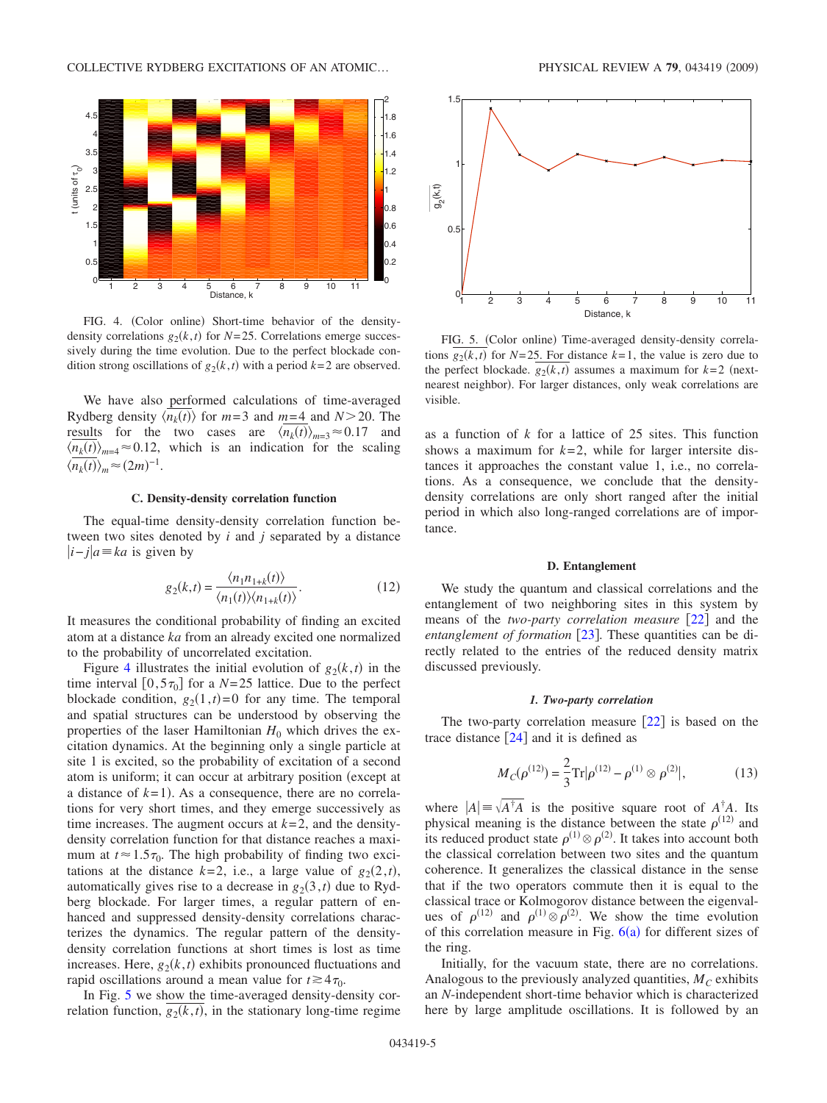<span id="page-4-0"></span>

FIG. 4. (Color online) Short-time behavior of the densitydensity correlations  $g_2(k,t)$  for  $N=25$ . Correlations emerge successively during the time evolution. Due to the perfect blockade condition strong oscillations of  $g_2(k,t)$  with a period  $k=2$  are observed.

We have also performed calculations of time-averaged Rydberg density  $\langle n_k(t) \rangle$  for  $m=3$  and  $m=4$  and  $N > 20$ . The results for the two cases are  $\langle n_k(t) \rangle_{m=3} \approx 0.17$  and  $\langle n_k(t) \rangle_{m=4} \approx 0.12$ , which is an indication for the scaling  $\langle n_k(t) \rangle_m \approx (2m)^{-1}.$ 

# **C. Density-density correlation function**

The equal-time density-density correlation function between two sites denoted by *i* and *j* separated by a distance *i*− *ja ka* is given by

$$
g_2(k,t) = \frac{\langle n_1 n_{1+k}(t) \rangle}{\langle n_1(t) \rangle \langle n_{1+k}(t) \rangle}.
$$
 (12)

It measures the conditional probability of finding an excited atom at a distance *ka* from an already excited one normalized to the probability of uncorrelated excitation.

Figure [4](#page-4-0) illustrates the initial evolution of  $g_2(k,t)$  in the time interval  $[0,5\tau_0]$  for a *N*=25 lattice. Due to the perfect blockade condition,  $g_2(1,t)=0$  for any time. The temporal and spatial structures can be understood by observing the properties of the laser Hamiltonian  $H_0$  which drives the excitation dynamics. At the beginning only a single particle at site 1 is excited, so the probability of excitation of a second atom is uniform; it can occur at arbitrary position (except at a distance of  $k=1$ ). As a consequence, there are no correlations for very short times, and they emerge successively as time increases. The augment occurs at  $k=2$ , and the densitydensity correlation function for that distance reaches a maximum at  $t \approx 1.5\tau_0$ . The high probability of finding two excitations at the distance  $k=2$ , i.e., a large value of  $g_2(2,t)$ , automatically gives rise to a decrease in  $g_2(3,t)$  due to Rydberg blockade. For larger times, a regular pattern of enhanced and suppressed density-density correlations characterizes the dynamics. The regular pattern of the densitydensity correlation functions at short times is lost as time increases. Here,  $g_2(k,t)$  exhibits pronounced fluctuations and rapid oscillations around a mean value for  $t \ge 4\tau_0$ .

In Fig. [5](#page-4-1) we show the time-averaged density-density correlation function,  $g_2(k,t)$ , in the stationary long-time regime

<span id="page-4-1"></span>

FIG. 5. (Color online) Time-averaged density-density correlations  $g_2(k,t)$  for  $N=25$ . For distance  $k=1$ , the value is zero due to the perfect blockade.  $g_2(k,t)$  assumes a maximum for  $k=2$  (nextnearest neighbor). For larger distances, only weak correlations are visible.

as a function of *k* for a lattice of 25 sites. This function shows a maximum for  $k=2$ , while for larger intersite distances it approaches the constant value 1, i.e., no correlations. As a consequence, we conclude that the densitydensity correlations are only short ranged after the initial period in which also long-ranged correlations are of importance.

### **D. Entanglement**

We study the quantum and classical correlations and the entanglement of two neighboring sites in this system by means of the *two-party correlation measure* [[22](#page-8-21)] and the *entanglement of formation* [[23](#page-8-22)]. These quantities can be directly related to the entries of the reduced density matrix discussed previously.

#### *1. Two-party correlation*

The two-party correlation measure  $\lceil 22 \rceil$  $\lceil 22 \rceil$  $\lceil 22 \rceil$  is based on the trace distance  $\lceil 24 \rceil$  $\lceil 24 \rceil$  $\lceil 24 \rceil$  and it is defined as

$$
M_C(\rho^{(12)}) = \frac{2}{3} \text{Tr} |\rho^{(12)} - \rho^{(1)} \otimes \rho^{(2)}|, \tag{13}
$$

<span id="page-4-2"></span>where  $|A| = \sqrt{A^{\dagger}A}$  is the positive square root of  $A^{\dagger}A$ . Its physical meaning is the distance between the state  $\rho^{(12)}$  and its reduced product state  $\rho^{(1)} \otimes \rho^{(2)}$ . It takes into account both the classical correlation between two sites and the quantum coherence. It generalizes the classical distance in the sense that if the two operators commute then it is equal to the classical trace or Kolmogorov distance between the eigenvalues of  $\rho^{(12)}$  and  $\rho^{(1)} \otimes \rho^{(2)}$ . We show the time evolution of this correlation measure in Fig.  $6(a)$  $6(a)$  for different sizes of the ring.

Initially, for the vacuum state, there are no correlations. Analogous to the previously analyzed quantities,  $M_C$  exhibits an *N*-independent short-time behavior which is characterized here by large amplitude oscillations. It is followed by an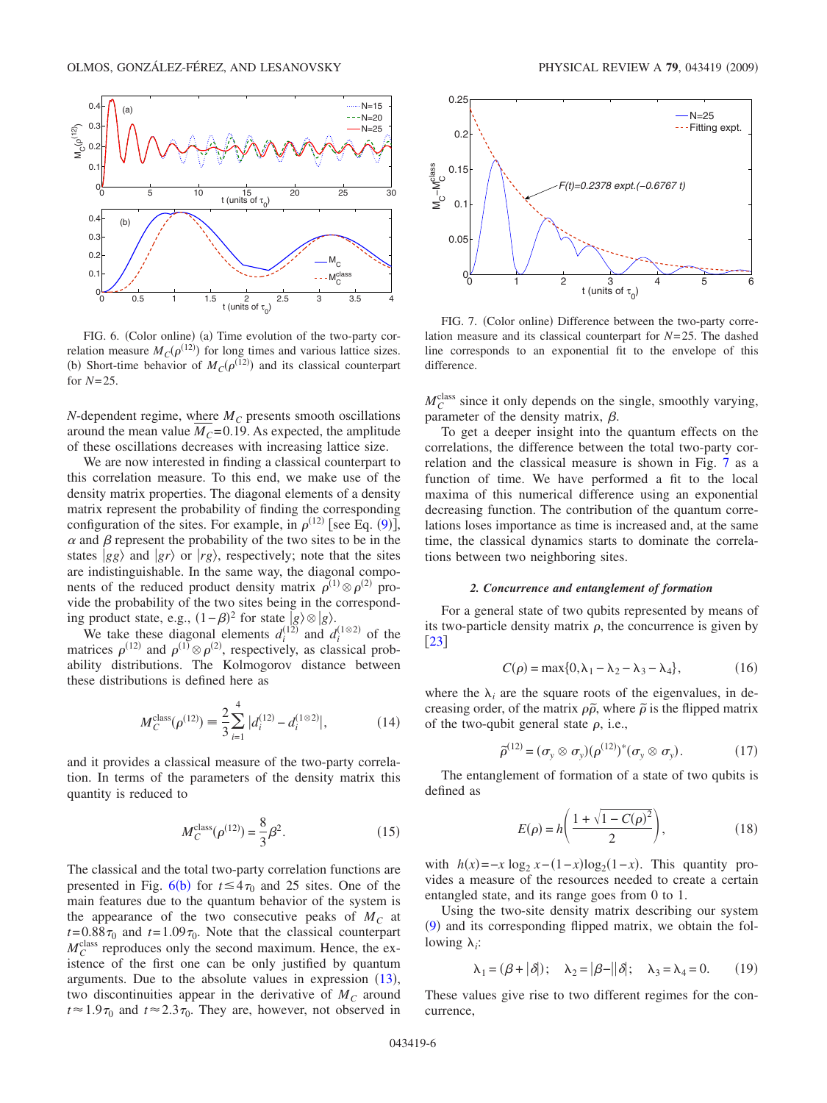<span id="page-5-0"></span>

FIG. 6. (Color online) (a) Time evolution of the two-party correlation measure  $M_C(\rho^{(12)})$  for long times and various lattice sizes. (b) Short-time behavior of  $M_C(\rho^{(12)})$  and its classical counterpart for *N*=25.

*N*-dependent regime, where  $M_C$  presents smooth oscillations around the mean value  $M_C$ =0.19. As expected, the amplitude of these oscillations decreases with increasing lattice size.

We are now interested in finding a classical counterpart to this correlation measure. To this end, we make use of the density matrix properties. The diagonal elements of a density matrix represent the probability of finding the corresponding configuration of the sites. For example, in  $\rho^{(12)}$  [see Eq. ([9](#page-3-4))],  $\alpha$  and  $\beta$  represent the probability of the two sites to be in the states  $|gg\rangle$  and  $|gr\rangle$  or  $|rg\rangle$ , respectively; note that the sites are indistinguishable. In the same way, the diagonal components of the reduced product density matrix  $\rho^{(1)} \otimes \rho^{(2)}$  provide the probability of the two sites being in the corresponding product state, e.g.,  $(1 - \beta)^2$  for state  $|g\rangle \otimes |g\rangle$ .

We take these diagonal elements  $d_i^{(12)}$  and  $d_i^{(1\otimes 2)}$  of the matrices  $\rho^{(12)}$  and  $\rho^{(1)} \otimes \rho^{(2)}$ , respectively, as classical probability distributions. The Kolmogorov distance between these distributions is defined here as

$$
M_C^{\text{class}}(\rho^{(12)}) \equiv \frac{2}{3} \sum_{i=1}^4 |d_i^{(12)} - d_i^{(1 \otimes 2)}|, \tag{14}
$$

and it provides a classical measure of the two-party correlation. In terms of the parameters of the density matrix this quantity is reduced to

$$
M_C^{\text{class}}(\rho^{(12)}) = \frac{8}{3}\beta^2.
$$
 (15)

The classical and the total two-party correlation functions are presented in Fig.  $6(b)$  $6(b)$  for  $t \le 4\tau_0$  and 25 sites. One of the main features due to the quantum behavior of the system is the appearance of the two consecutive peaks of  $M_c$  at  $t=0.88\tau_0$  and  $t=1.09\tau_0$ . Note that the classical counterpart  $M_C^{\text{class}}$  reproduces only the second maximum. Hence, the existence of the first one can be only justified by quantum arguments. Due to the absolute values in expression ([13](#page-4-2)), two discontinuities appear in the derivative of  $M<sub>C</sub>$  around  $t \approx 1.9\tau_0$  and  $t \approx 2.3\tau_0$ . They are, however, not observed in

<span id="page-5-1"></span>

FIG. 7. (Color online) Difference between the two-party correlation measure and its classical counterpart for *N*=25. The dashed line corresponds to an exponential fit to the envelope of this difference.

 $M_C^{\text{class}}$  since it only depends on the single, smoothly varying, parameter of the density matrix,  $\beta$ .

To get a deeper insight into the quantum effects on the correlations, the difference between the total two-party correlation and the classical measure is shown in Fig. [7](#page-5-1) as a function of time. We have performed a fit to the local maxima of this numerical difference using an exponential decreasing function. The contribution of the quantum correlations loses importance as time is increased and, at the same time, the classical dynamics starts to dominate the correlations between two neighboring sites.

#### *2. Concurrence and entanglement of formation*

For a general state of two qubits represented by means of its two-particle density matrix  $\rho$ , the concurrence is given by  $\lceil 23 \rceil$  $\lceil 23 \rceil$  $\lceil 23 \rceil$ 

$$
C(\rho) = \max\{0, \lambda_1 - \lambda_2 - \lambda_3 - \lambda_4\},\tag{16}
$$

where the  $\lambda_i$  are the square roots of the eigenvalues, in decreasing order, of the matrix  $\rho\tilde{\rho}$ , where  $\tilde{\rho}$  is the flipped matrix of the two-qubit general state  $\rho$ , i.e.,

$$
\tilde{\rho}^{(12)} = (\sigma_y \otimes \sigma_y)(\rho^{(12)})^*(\sigma_y \otimes \sigma_y).
$$
 (17)

The entanglement of formation of a state of two qubits is defined as

$$
E(\rho) = h\left(\frac{1 + \sqrt{1 - C(\rho)^2}}{2}\right),\tag{18}
$$

with  $h(x) = -x \log_2 x - (1-x) \log_2(1-x)$ . This quantity provides a measure of the resources needed to create a certain entangled state, and its range goes from 0 to 1.

Using the two-site density matrix describing our system ([9](#page-3-4)) and its corresponding flipped matrix, we obtain the following  $\lambda_i$ :

$$
\lambda_1 = (\beta + |\delta|); \quad \lambda_2 = |\beta - ||\delta|; \quad \lambda_3 = \lambda_4 = 0. \tag{19}
$$

These values give rise to two different regimes for the concurrence,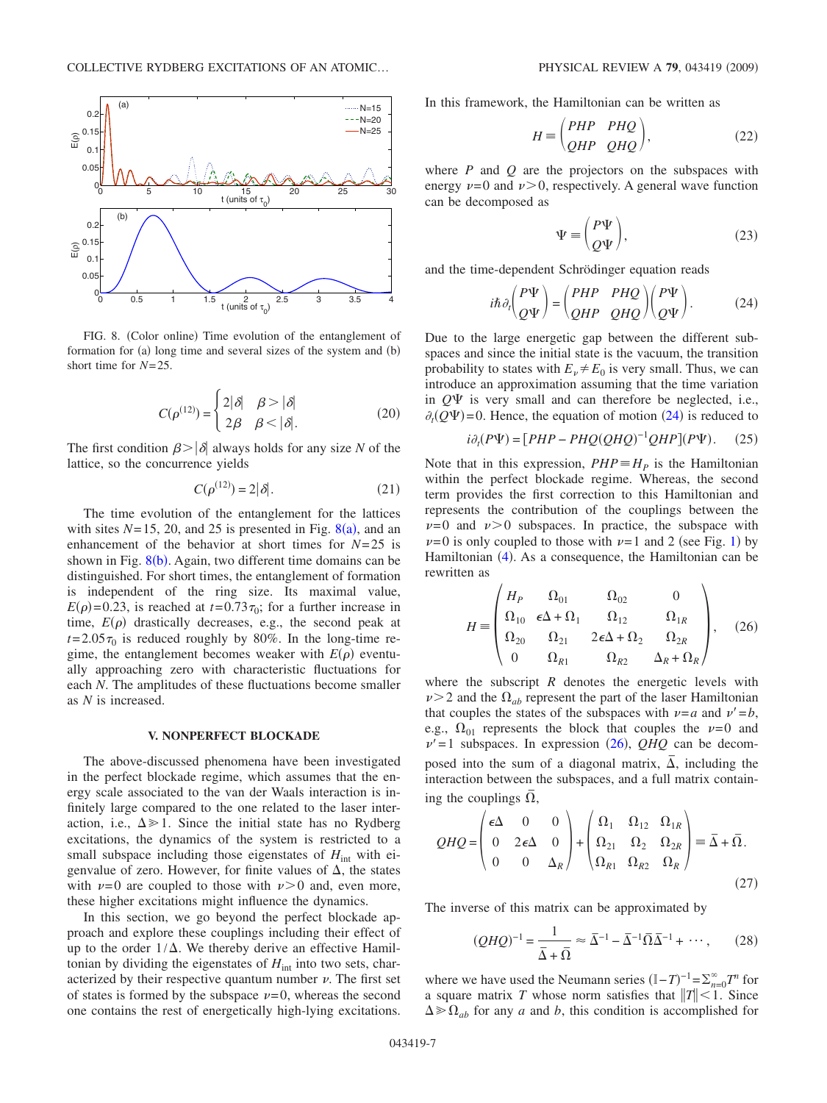<span id="page-6-1"></span>

FIG. 8. (Color online) Time evolution of the entanglement of formation for (a) long time and several sizes of the system and (b) short time for *N*=25.

$$
C(\rho^{(12)}) = \begin{cases} 2|\delta| & \beta > |\delta| \\ 2\beta & \beta < |\delta| \end{cases}
$$
 (20)

The first condition  $\beta > |\delta|$  always holds for any size *N* of the lattice, so the concurrence yields

$$
C(\rho^{(12)}) = 2|\delta|. \tag{21}
$$

The time evolution of the entanglement for the lattices with sites  $N=15$ , 20, and 25 is presented in Fig.  $8(a)$  $8(a)$ , and an enhancement of the behavior at short times for  $N=25$  is shown in Fig.  $8(b)$  $8(b)$ . Again, two different time domains can be distinguished. For short times, the entanglement of formation is independent of the ring size. Its maximal value,  $E(\rho)$ =0.23, is reached at *t*=0.73 $\tau_0$ ; for a further increase in time,  $E(\rho)$  drastically decreases, e.g., the second peak at  $t=2.05\tau_0$  is reduced roughly by 80%. In the long-time regime, the entanglement becomes weaker with  $E(\rho)$  eventually approaching zero with characteristic fluctuations for each *N*. The amplitudes of these fluctuations become smaller as *N* is increased.

# **V. NONPERFECT BLOCKADE**

<span id="page-6-0"></span>The above-discussed phenomena have been investigated in the perfect blockade regime, which assumes that the energy scale associated to the van der Waals interaction is infinitely large compared to the one related to the laser interaction, i.e.,  $\Delta \gg 1$ . Since the initial state has no Rydberg excitations, the dynamics of the system is restricted to a small subspace including those eigenstates of  $H<sub>int</sub>$  with eigenvalue of zero. However, for finite values of  $\Delta$ , the states with  $\nu=0$  are coupled to those with  $\nu>0$  and, even more, these higher excitations might influence the dynamics.

In this section, we go beyond the perfect blockade approach and explore these couplings including their effect of up to the order  $1/\Delta$ . We thereby derive an effective Hamiltonian by dividing the eigenstates of  $H<sub>int</sub>$  into two sets, characterized by their respective quantum number  $\nu$ . The first set of states is formed by the subspace  $\nu=0$ , whereas the second one contains the rest of energetically high-lying excitations.

In this framework, the Hamiltonian can be written as

$$
H = \begin{pmatrix} PHP & PHQ \\ QHP & QHQ \end{pmatrix}, \tag{22}
$$

where *P* and *Q* are the projectors on the subspaces with energy  $\nu=0$  and  $\nu>0$ , respectively. A general wave function can be decomposed as

$$
\Psi \equiv \begin{pmatrix} P\Psi \\ Q\Psi \end{pmatrix},\tag{23}
$$

and the time-dependent Schrödinger equation reads

$$
i\hbar \partial_t \begin{pmatrix} P\Psi \\ Q\Psi \end{pmatrix} = \begin{pmatrix} PHP & PHQ \\ QHP & QHQ \end{pmatrix} \begin{pmatrix} P\Psi \\ Q\Psi \end{pmatrix}.
$$
 (24)

<span id="page-6-2"></span>Due to the large energetic gap between the different subspaces and since the initial state is the vacuum, the transition probability to states with  $E_v \neq E_0$  is very small. Thus, we can introduce an approximation assuming that the time variation in  $Q\Psi$  is very small and can therefore be neglected, i.e.,  $\partial_t(Q\Psi)$ =0. Hence, the equation of motion ([24](#page-6-2)) is reduced to

$$
i\partial_t (P\Psi) = [PHP - PHQ(QHQ)^{-1}QHP](P\Psi). \tag{25}
$$

Note that in this expression,  $PHP \equiv H_P$  is the Hamiltonian within the perfect blockade regime. Whereas, the second term provides the first correction to this Hamiltonian and represents the contribution of the couplings between the  $\nu=0$  and  $\nu>0$  subspaces. In practice, the subspace with  $\nu=0$  is only coupled to those with  $\nu=1$  $\nu=1$  and 2 (see Fig. 1) by Hamiltonian ([4](#page-1-2)). As a consequence, the Hamiltonian can be rewritten as

<span id="page-6-3"></span>
$$
H = \begin{pmatrix} H_P & \Omega_{01} & \Omega_{02} & 0 \\ \Omega_{10} & \epsilon \Delta + \Omega_1 & \Omega_{12} & \Omega_{1R} \\ \Omega_{20} & \Omega_{21} & 2\epsilon \Delta + \Omega_2 & \Omega_{2R} \\ 0 & \Omega_{R1} & \Omega_{R2} & \Delta_R + \Omega_R \end{pmatrix}, \quad (26)
$$

where the subscript  $R$  denotes the energetic levels with  $\nu$  > 2 and the  $\Omega_{ab}$  represent the part of the laser Hamiltonian that couples the states of the subspaces with  $\nu = a$  and  $\nu' = b$ , e.g.,  $\Omega_{01}$  represents the block that couples the  $\nu=0$  and  $\nu' = 1$  subspaces. In expression ([26](#page-6-3)), *QHQ* can be decomposed into the sum of a diagonal matrix,  $\Delta$ , including the interaction between the subspaces, and a full matrix containing the couplings  $\Omega$ ,

$$
QHQ = \begin{pmatrix} \epsilon \Delta & 0 & 0 \\ 0 & 2\epsilon \Delta & 0 \\ 0 & 0 & \Delta_R \end{pmatrix} + \begin{pmatrix} \Omega_1 & \Omega_{12} & \Omega_{1R} \\ \Omega_{21} & \Omega_2 & \Omega_{2R} \\ \Omega_{R1} & \Omega_{R2} & \Omega_R \end{pmatrix} \equiv \bar{\Delta} + \bar{\Omega}.
$$
\n(27)

The inverse of this matrix can be approximated by

$$
(QHQ)^{-1} = \frac{1}{\bar{\Delta} + \bar{\Omega}} \approx \bar{\Delta}^{-1} - \bar{\Delta}^{-1} \bar{\Omega} \bar{\Delta}^{-1} + \cdots, \qquad (28)
$$

where we have used the Neumann series  $(I-T)^{-1} = \sum_{n=0}^{\infty} T^n$  for a square matrix *T* whose norm satisfies that  $||T|| < 1$ . Since  $\Delta \gg \Omega_{ab}$  for any *a* and *b*, this condition is accomplished for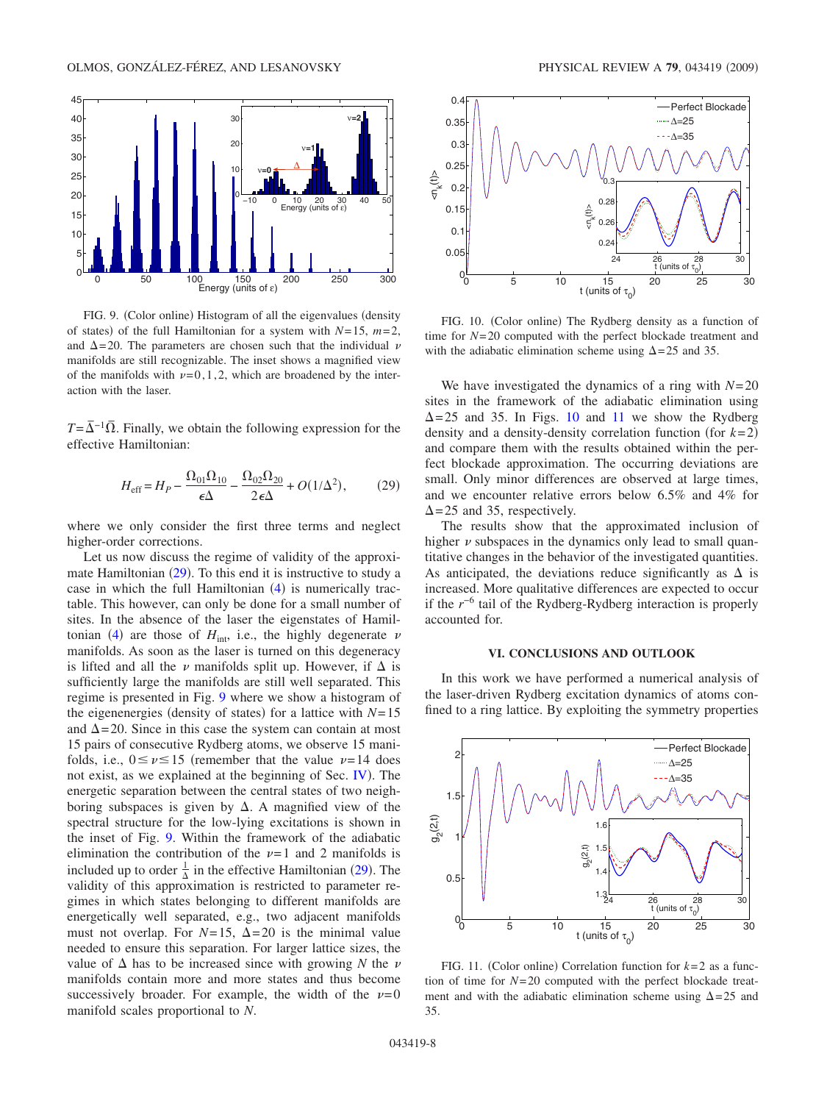<span id="page-7-2"></span>

FIG. 9. (Color online) Histogram of all the eigenvalues (density of states) of the full Hamiltonian for a system with  $N=15$ ,  $m=2$ , and  $\Delta$ =20. The parameters are chosen such that the individual  $\nu$ manifolds are still recognizable. The inset shows a magnified view of the manifolds with  $\nu=0,1,2$ , which are broadened by the interaction with the laser.

 $T=\overline{\Delta}^{-1}\overline{\Omega}$ . Finally, we obtain the following expression for the effective Hamiltonian:

$$
H_{\rm eff} = H_P - \frac{\Omega_{01}\Omega_{10}}{\epsilon\Delta} - \frac{\Omega_{02}\Omega_{20}}{2\epsilon\Delta} + O(1/\Delta^2),\tag{29}
$$

<span id="page-7-1"></span>where we only consider the first three terms and neglect higher-order corrections.

Let us now discuss the regime of validity of the approximate Hamiltonian  $(29)$  $(29)$  $(29)$ . To this end it is instructive to study a case in which the full Hamiltonian  $(4)$  $(4)$  $(4)$  is numerically tractable. This however, can only be done for a small number of sites. In the absence of the laser the eigenstates of Hamil-tonian ([4](#page-1-2)) are those of  $H_{int}$ , i.e., the highly degenerate  $\nu$ manifolds. As soon as the laser is turned on this degeneracy is lifted and all the  $\nu$  manifolds split up. However, if  $\Delta$  is sufficiently large the manifolds are still well separated. This regime is presented in Fig. [9](#page-7-2) where we show a histogram of the eigenenergies (density of states) for a lattice with  $N=15$ and  $\Delta$ =20. Since in this case the system can contain at most 15 pairs of consecutive Rydberg atoms, we observe 15 manifolds, i.e.,  $0 \le \nu \le 15$  (remember that the value  $\nu = 14$  does not exist, as we explained at the beginning of Sec. [IV](#page-2-0)). The energetic separation between the central states of two neighboring subspaces is given by  $\Delta$ . A magnified view of the spectral structure for the low-lying excitations is shown in the inset of Fig. [9.](#page-7-2) Within the framework of the adiabatic elimination the contribution of the  $\nu=1$  and 2 manifolds is included up to order  $\frac{1}{\Delta}$  in the effective Hamiltonian ([29](#page-7-1)). The validity of this approximation is restricted to parameter regimes in which states belonging to different manifolds are energetically well separated, e.g., two adjacent manifolds must not overlap. For  $N=15$ ,  $\Delta=20$  is the minimal value needed to ensure this separation. For larger lattice sizes, the value of  $\Delta$  has to be increased since with growing *N* the  $\nu$ manifolds contain more and more states and thus become successively broader. For example, the width of the  $\nu=0$ manifold scales proportional to *N*.

<span id="page-7-3"></span>

FIG. 10. (Color online) The Rydberg density as a function of time for *N*=20 computed with the perfect blockade treatment and with the adiabatic elimination scheme using  $\Delta = 25$  and 35.

We have investigated the dynamics of a ring with *N*=20 sites in the framework of the adiabatic elimination using  $\Delta$ =25 and 35. In Figs. [10](#page-7-3) and [11](#page-7-4) we show the Rydberg density and a density-density correlation function (for  $k=2$ ) and compare them with the results obtained within the perfect blockade approximation. The occurring deviations are small. Only minor differences are observed at large times, and we encounter relative errors below 6.5% and 4% for  $\Delta$ =25 and 35, respectively.

The results show that the approximated inclusion of higher  $\nu$  subspaces in the dynamics only lead to small quantitative changes in the behavior of the investigated quantities. As anticipated, the deviations reduce significantly as  $\Delta$  is increased. More qualitative differences are expected to occur if the *r*−6 tail of the Rydberg-Rydberg interaction is properly accounted for.

#### **VI. CONCLUSIONS AND OUTLOOK**

<span id="page-7-0"></span>In this work we have performed a numerical analysis of the laser-driven Rydberg excitation dynamics of atoms confined to a ring lattice. By exploiting the symmetry properties

<span id="page-7-4"></span>

FIG. 11. (Color online) Correlation function for  $k=2$  as a function of time for *N*=20 computed with the perfect blockade treatment and with the adiabatic elimination scheme using  $\Delta = 25$  and 35.